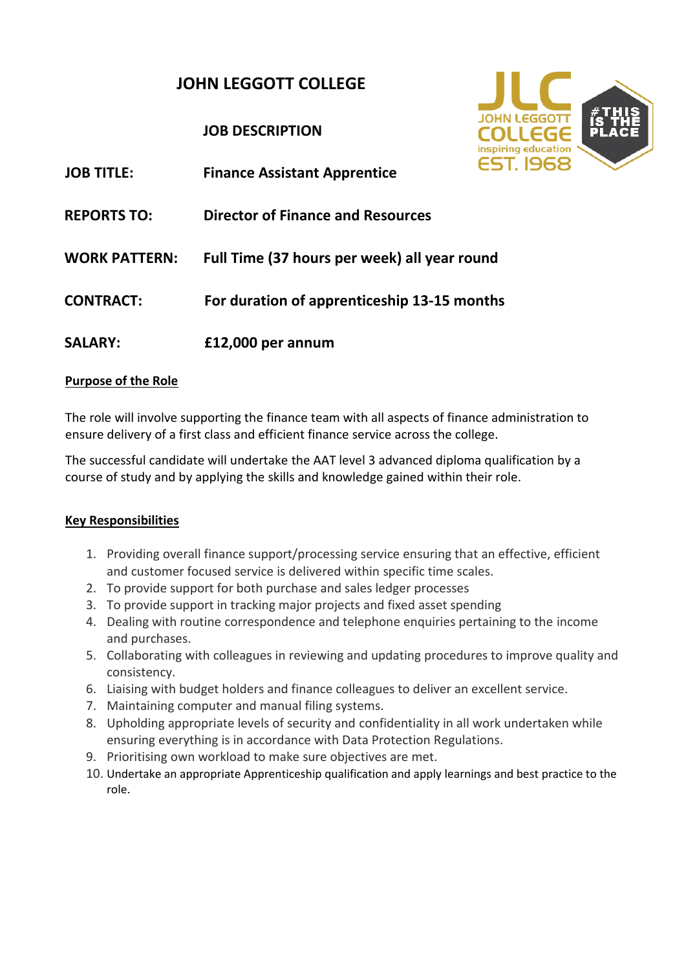# **JOHN LEGGOTT COLLEGE**

# **JOB DESCRIPTION**

| <b>JOB TITLE:</b>    | <b>Finance Assistant Apprentice</b>          |
|----------------------|----------------------------------------------|
| <b>REPORTS TO:</b>   | <b>Director of Finance and Resources</b>     |
| <b>WORK PATTERN:</b> | Full Time (37 hours per week) all year round |
| <b>CONTRACT:</b>     | For duration of apprenticeship 13-15 months  |
| <b>SALARY:</b>       | £12,000 per annum                            |

### **Purpose of the Role**

The role will involve supporting the finance team with all aspects of finance administration to ensure delivery of a first class and efficient finance service across the college.

The successful candidate will undertake the AAT level 3 advanced diploma qualification by a course of study and by applying the skills and knowledge gained within their role.

#### **Key Responsibilities**

- 1. Providing overall finance support/processing service ensuring that an effective, efficient and customer focused service is delivered within specific time scales.
- 2. To provide support for both purchase and sales ledger processes
- 3. To provide support in tracking major projects and fixed asset spending
- 4. Dealing with routine correspondence and telephone enquiries pertaining to the income and purchases.
- 5. Collaborating with colleagues in reviewing and updating procedures to improve quality and consistency.
- 6. Liaising with budget holders and finance colleagues to deliver an excellent service.
- 7. Maintaining computer and manual filing systems.
- 8. Upholding appropriate levels of security and confidentiality in all work undertaken while ensuring everything is in accordance with Data Protection Regulations.
- 9. Prioritising own workload to make sure objectives are met.
- 10. Undertake an appropriate Apprenticeship qualification and apply learnings and best practice to the role.

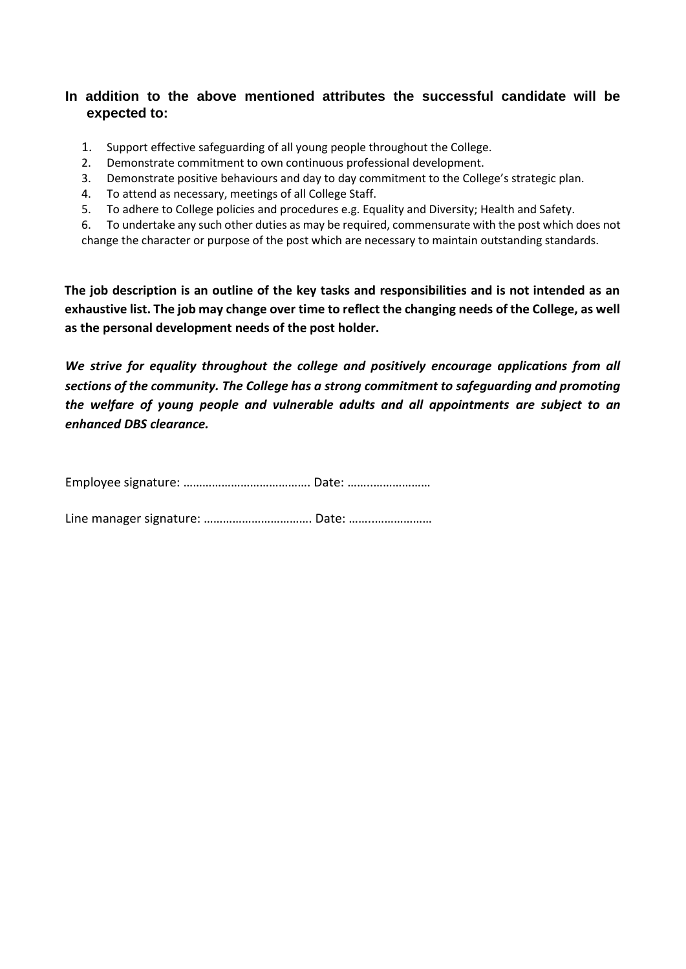#### **In addition to the above mentioned attributes the successful candidate will be expected to:**

- 1. Support effective safeguarding of all young people throughout the College.
- 2. Demonstrate commitment to own continuous professional development.
- 3. Demonstrate positive behaviours and day to day commitment to the College's strategic plan.
- 4. To attend as necessary, meetings of all College Staff.
- 5. To adhere to College policies and procedures e.g. Equality and Diversity; Health and Safety.

6. To undertake any such other duties as may be required, commensurate with the post which does not change the character or purpose of the post which are necessary to maintain outstanding standards.

**The job description is an outline of the key tasks and responsibilities and is not intended as an exhaustive list. The job may change over time to reflect the changing needs of the College, as well as the personal development needs of the post holder.** 

*We strive for equality throughout the college and positively encourage applications from all sections of the community. The College has a strong commitment to safeguarding and promoting the welfare of young people and vulnerable adults and all appointments are subject to an enhanced DBS clearance.* 

Employee signature: …………………………………. Date: ……..………………

Line manager signature: ……………………………. Date: ……..………………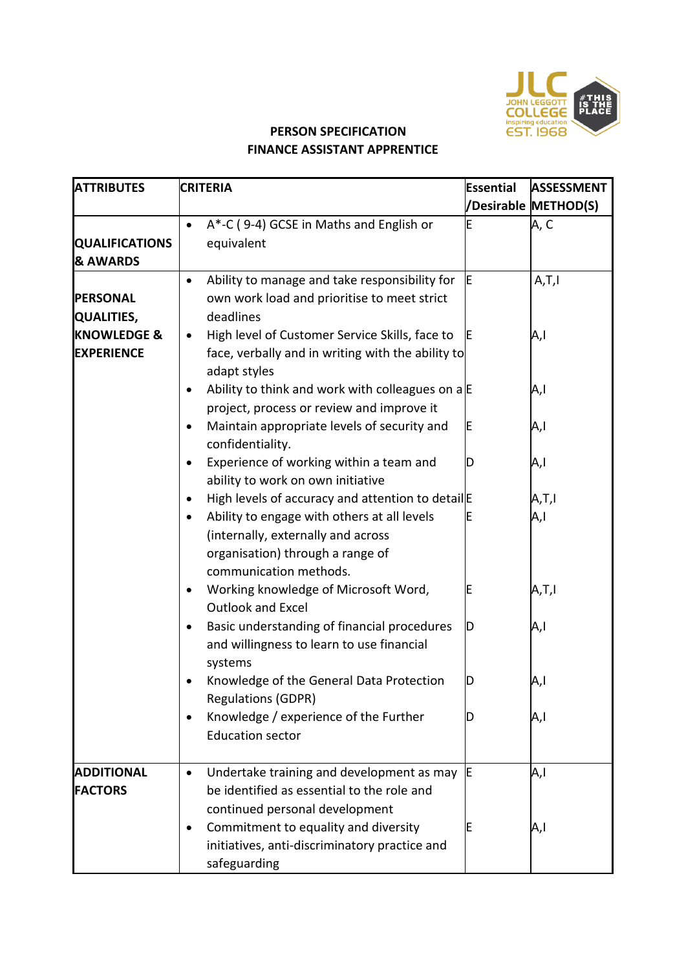

# **PERSON SPECIFICATION FINANCE ASSISTANT APPRENTICE**

| <b>ATTRIBUTES</b>                   | <b>CRITERIA</b>                                                                                                                        | Essential | <b>ASSESSMENT</b>    |
|-------------------------------------|----------------------------------------------------------------------------------------------------------------------------------------|-----------|----------------------|
|                                     |                                                                                                                                        |           | /Desirable METHOD(S) |
|                                     | A*-C (9-4) GCSE in Maths and English or<br>$\bullet$                                                                                   | E         | A, C                 |
| <b>QUALIFICATIONS</b>               | equivalent                                                                                                                             |           |                      |
| <b>&amp; AWARDS</b>                 |                                                                                                                                        |           |                      |
|                                     | Ability to manage and take responsibility for<br>$\bullet$                                                                             |           | A,T,I                |
| <b>PERSONAL</b>                     | own work load and prioritise to meet strict                                                                                            |           |                      |
| <b>QUALITIES,</b>                   | deadlines                                                                                                                              |           |                      |
| <b>KNOWLEDGE &amp;</b>              | High level of Customer Service Skills, face to<br>$\bullet$                                                                            |           | A,I                  |
| <b>EXPERIENCE</b>                   | face, verbally and in writing with the ability to<br>adapt styles                                                                      |           |                      |
|                                     | Ability to think and work with colleagues on $a \nvert E$<br>$\bullet$                                                                 |           | A,I                  |
|                                     | project, process or review and improve it                                                                                              |           |                      |
|                                     | Maintain appropriate levels of security and<br>$\bullet$<br>confidentiality.                                                           | E         | A,I                  |
|                                     | Experience of working within a team and<br>$\bullet$<br>ability to work on own initiative                                              | D         | A,I                  |
|                                     | High levels of accuracy and attention to detail E<br>$\bullet$                                                                         |           | A,T,I                |
|                                     | Ability to engage with others at all levels<br>$\bullet$<br>(internally, externally and across<br>organisation) through a range of     |           | A,I                  |
|                                     | communication methods.<br>Working knowledge of Microsoft Word,<br>$\bullet$<br><b>Outlook and Excel</b>                                | E         | A,T,I                |
|                                     | Basic understanding of financial procedures<br>and willingness to learn to use financial<br>systems                                    | D         | A,I                  |
|                                     | Knowledge of the General Data Protection<br><b>Regulations (GDPR)</b>                                                                  | D         | A,I                  |
|                                     | Knowledge / experience of the Further<br><b>Education sector</b>                                                                       |           | A,I                  |
| <b>ADDITIONAL</b><br><b>FACTORS</b> | Undertake training and development as may<br>$\bullet$<br>be identified as essential to the role and<br>continued personal development |           | A,I                  |
|                                     | Commitment to equality and diversity<br>$\bullet$<br>initiatives, anti-discriminatory practice and<br>safeguarding                     |           | A,I                  |